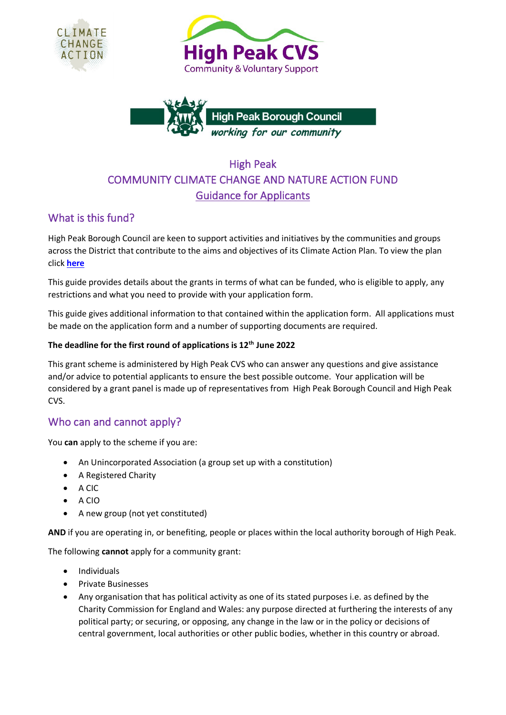





# High Peak COMMUNITY CLIMATE CHANGE AND NATURE ACTION FUND Guidance for Applicants

# What is this fund?

High Peak Borough Council are keen to support activities and initiatives by the communities and groups across the District that contribute to the aims and objectives of its Climate Action Plan. To view the plan click **[here](https://www.highpeak.gov.uk/ClimateChange)**

This guide provides details about the grants in terms of what can be funded, who is eligible to apply, any restrictions and what you need to provide with your application form.

This guide gives additional information to that contained within the application form. All applications must be made on the application form and a number of supporting documents are required.

#### **The deadline for the first round of applications is 12th June 2022**

This grant scheme is administered by High Peak CVS who can answer any questions and give assistance and/or advice to potential applicants to ensure the best possible outcome. Your application will be considered by a grant panel is made up of representatives from High Peak Borough Council and High Peak CVS.

# Who can and cannot apply?

You **can** apply to the scheme if you are:

- An Unincorporated Association (a group set up with a constitution)
- A Registered Charity
- A CIC
- A CIO
- A new group (not yet constituted)

**AND** if you are operating in, or benefiting, people or places within the local authority borough of High Peak.

The following **cannot** apply for a community grant:

- Individuals
- Private Businesses
- Any organisation that has political activity as one of its stated purposes i.e. as defined by the Charity Commission for England and Wales: any purpose directed at furthering the interests of any political party; or securing, or opposing, any change in the law or in the policy or decisions of central government, local authorities or other public bodies, whether in this country or abroad.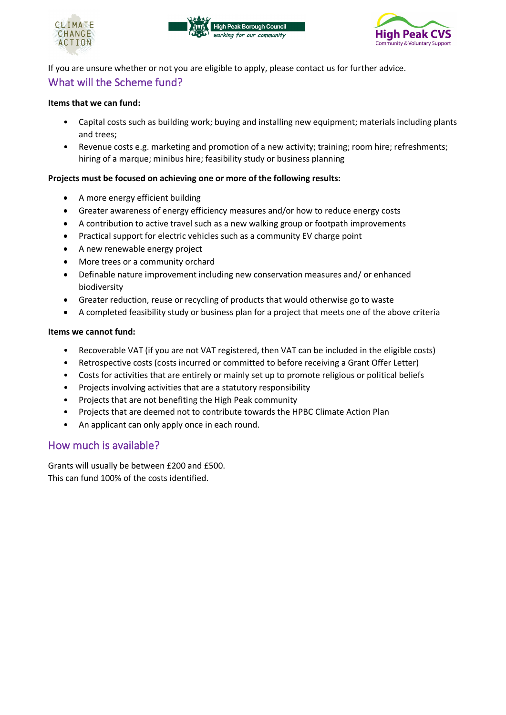





If you are unsure whether or not you are eligible to apply, please contact us for further advice. What will the Scheme fund?

#### **Items that we can fund:**

- Capital costs such as building work; buying and installing new equipment; materials including plants and trees;
- Revenue costs e.g. marketing and promotion of a new activity; training; room hire; refreshments; hiring of a marque; minibus hire; feasibility study or business planning

#### **Projects must be focused on achieving one or more of the following results:**

- A more energy efficient building
- Greater awareness of energy efficiency measures and/or how to reduce energy costs
- A contribution to active travel such as a new walking group or footpath improvements
- Practical support for electric vehicles such as a community EV charge point
- A new renewable energy project
- More trees or a community orchard
- Definable nature improvement including new conservation measures and/ or enhanced biodiversity
- Greater reduction, reuse or recycling of products that would otherwise go to waste
- A completed feasibility study or business plan for a project that meets one of the above criteria

#### **Items we cannot fund:**

- Recoverable VAT (if you are not VAT registered, then VAT can be included in the eligible costs)
- Retrospective costs (costs incurred or committed to before receiving a Grant Offer Letter)
- Costs for activities that are entirely or mainly set up to promote religious or political beliefs
- Projects involving activities that are a statutory responsibility
- Projects that are not benefiting the High Peak community
- Projects that are deemed not to contribute towards the HPBC Climate Action Plan
- An applicant can only apply once in each round.

#### How much is available?

Grants will usually be between £200 and £500. This can fund 100% of the costs identified.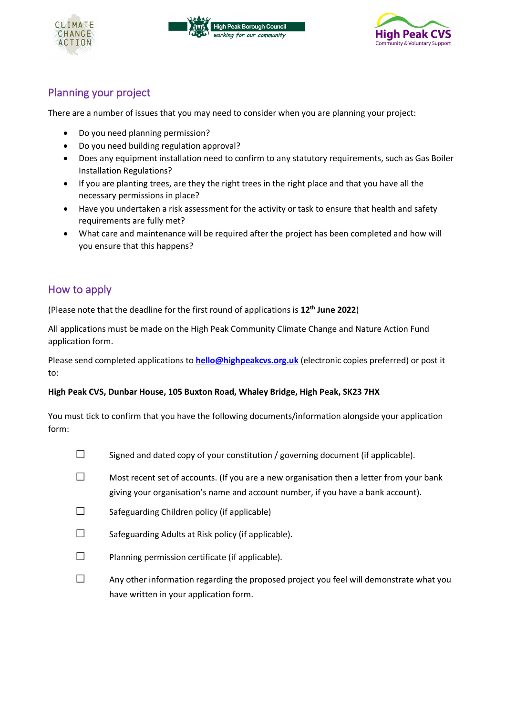





# Planning your project

There are a number of issues that you may need to consider when you are planning your project:

- Do you need planning permission?
- Do you need building regulation approval?
- Does any equipment installation need to confirm to any statutory requirements, such as Gas Boiler Installation Regulations?
- If you are planting trees, are they the right trees in the right place and that you have all the necessary permissions in place?
- Have you undertaken a risk assessment for the activity or task to ensure that health and safety requirements are fully met?
- What care and maintenance will be required after the project has been completed and how will you ensure that this happens?

# How to apply

(Please note that the deadline for the first round of applications is **12th June 2022**)

All applications must be made on the High Peak Community Climate Change and Nature Action Fund application form.

Please send completed applications to **[hello@highpeakcvs.org.uk](mailto:hello@highpeakcvs.org.uk)** (electronic copies preferred) or post it to:

#### **High Peak CVS, Dunbar House, 105 Buxton Road, Whaley Bridge, High Peak, SK23 7HX**

You must tick to confirm that you have the following documents/information alongside your application form:

- $\square$  Signed and dated copy of your constitution / governing document (if applicable).
- $\square$  Most recent set of accounts. (If you are a new organisation then a letter from your bank giving your organisation's name and account number, if you have a bank account).
- $\square$  Safeguarding Children policy (if applicable)
- $\square$  Safeguarding Adults at Risk policy (if applicable).
- $\square$  Planning permission certificate (if applicable).
- $\square$  Any other information regarding the proposed project you feel will demonstrate what you have written in your application form.